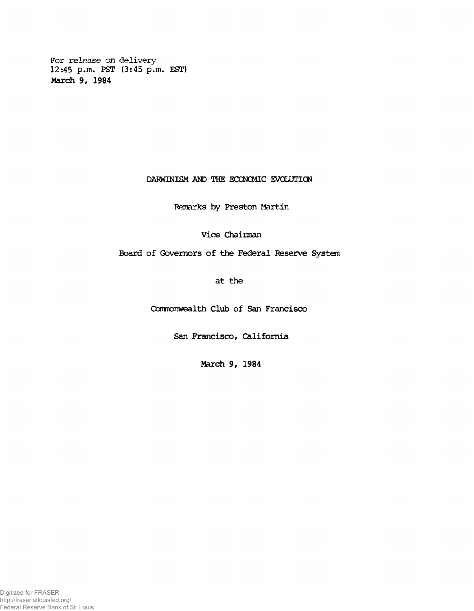**For release on delivery 12:45 p.m. PST (3:45 p.m. EST) Mardi 9, 1984**

# **DARWINISM AND THE ECONOMIC EVOLUTION**

## **Remarks by Preston Martin**

**Vice Chairman**

**Board of Governors of the Federal Reserve System**

**at the**

**Ccrmonwealth Club of San Francisco**

**San Francisco, California**

**March 9, 1984**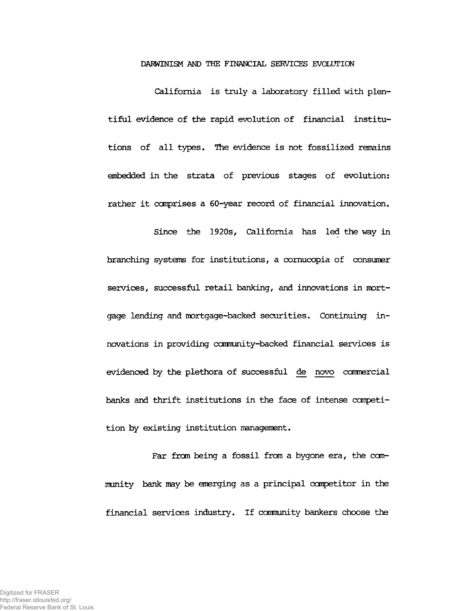### **DARWINISM AND THE FINANCIAL SERVICES EVOLUTION**

**California is truly a laboratory filled with plentiful evidence of the rapid evolution of financial institutions of all types. The evidence is not fossilized remains embedded in the strata of previous stages of evolution: rather it comprises a 60-year record of financial innovation.**

**Since the 1920s, California has led the way in branching systems for institutions, a cornucopia of consumer services, successful retail banking, and innovations in mortgage lending and mortgage-backed securities. Continuing innovations in providing ccmnunity-backed financial services is evidenced by the plethora of successful de novo cannercial banks and thrift institutions in the face of intense competition by existing institution management.**

**Far from being a fossil from a bygone era, the community bank may be emerging as a principal competitor in the financial services industry. If cannunity bankers choose the**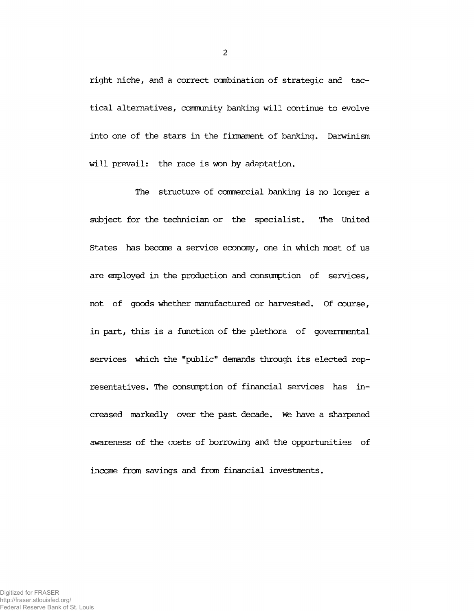**right niche, and a correct combination of strategic and tactical alternatives, community banking will continue to evolve into one of the stars in the firmament of banking. Darwinism will prevail: the race is won by adaptation.**

**The structure of cannercial banking is no longer a subject for the technician or the specialist. The United States has became a service economy, one in which most of us are employed in the production and consumption of services, not of goods whether manufactured or harvested. Of course, in part, this is a function of the plethora of governmental services which the "public" demands through its elected representatives. The consumption of financial services has increased markedly over the past decade. We have a sharpened awareness of the costs of borrowing and the opportunities of incane fran savings and from financial investments.**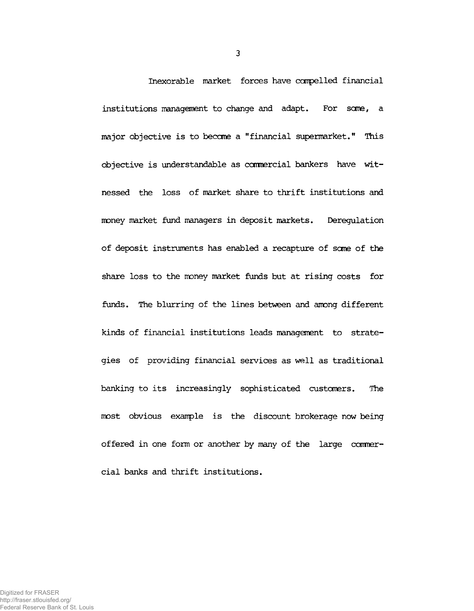**Inexorable market forœs have carpe lied financial institutions management to change and adapt. For sane, a major objective is to become a "financial supermarket." This objective is understandable as comercial bankers have witnessed the loss of market share to thrift institutions and money market fund managers in deposit markets. Deregulation of deposit instruments has enabled a recapture of sane of the share loss to the money market funds but at rising costs for funds. The blurring of the lines between and among different kinds of financial institutions leads management to strategies of providing financial services as well as traditional banking to its increasingly sophisticated customers. The most obvious example is the discount brokerage now being offered in one form or another by many of the large commercial banks and thrift institutions.**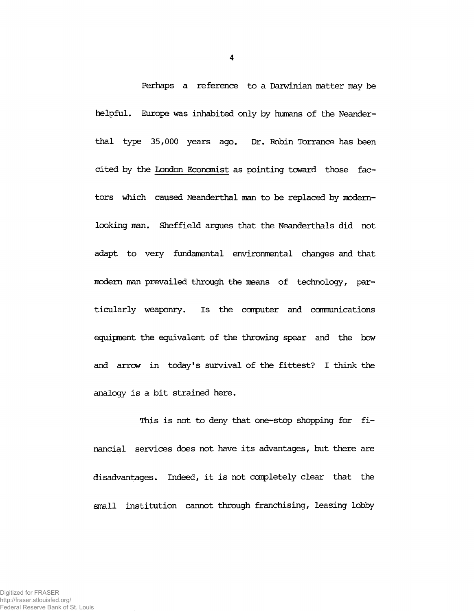**Perhaps a reference to a Darwinian matter may be helpful. Europe was inhabited only by humans of the Neanderthal type 35,000 years ago. Dr. Robin Torrance has been cited by the London Econcmist as pointing toward those factors which caused Neanderthal man to be replaced by modemlooking man. Sheffield argues that the Neanderthals did not adapt to very fundamental environmental changes and that modem man prevailed through the means of technology, particularly weaponry. Is the computer and comnunications equipment the equivalent of the throwing spear and the bow and arrow in today's survival of the fittest? I think the analogy is a bit strained here.**

**This is not to deny that one-stop shopping for financial services does not have its advantages, but there are disadvantages. Indeed, it is not completely clear that the small institution cannot through franchising, leasing lobby**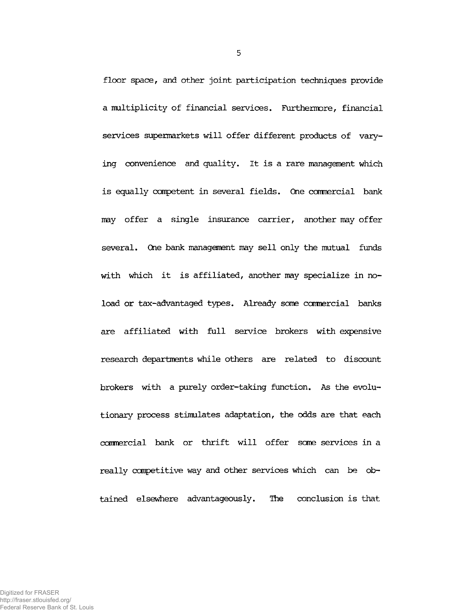**floor space, and other joint participation techniques provide a multiplicity of financial services. Furthermore, financial services supermarkets will offer different products of varying convenience and quality. It is a rare management which is equally competent in several fields. One commercial bank may offer a single insurance carrier, another may offer several. One bank management may sell only the mutual funds with which it is affiliated, another may specialize in noload or tax-advantaged types. Already sane commercial banks are affiliated with full service brokers with expensive research departments while others are related to discount brokers with a purely order-taking function. As the evolutionary process stimulates adaptation, the odds are that each** commercial bank or thrift will offer some services in a **really competitive way and other services which can be obtained elsewhere advantageously. The conclusion is that**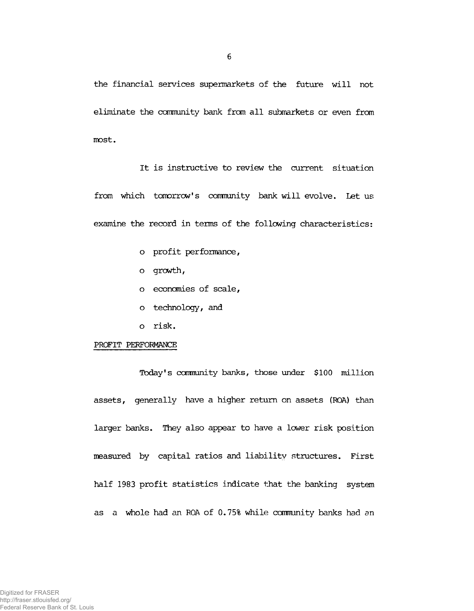**the financial services supermarkets of the future will not eliminate the ccmnunity bank from all submarkets or even from most.**

**It is instructive to review the current situation from which tomorrow's canmunity bank will evolve. Let us examine the record in terms of the following characteristics:**

- **o profit performance,**
- **o growth,**
- **o economies of scale,**
- **o technology, and**
- **o risk.**

#### **PROFIT PERFORMANCE**

**Today's community banks, those under \$100 million assets, generally have a higher return on assets (ROA) than larger banks. They also appear to have a lower risk position measured by capital ratios and liability structures. First half 1983 profit statistics indicate that the banking system as a whole had an ROA of 0.75% while canmunity banks had an**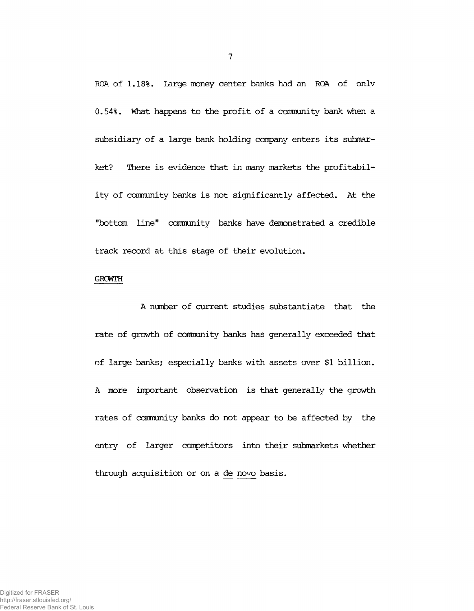**ROA of 1.18%. Large money center banks had an ROA of on.lv 0.54%. What happens to the profit of a comnunity bank when a subsidiary of a large bank holding company enters its submarket? There is evidence that in many markets the profitability of connunity banks is not significantly affected. At the "bottom line" connunity banks have demonstrated a credible track record at this stage of their evolution.**

### **GROWTH**

**A number of current studies substantiate that the rate of growth of connunity banks has generally exceeded that of large banks; especially banks with assets over \$1 billion. A more important observation is that generally the growth rates of connunity banks do not appear to be affected by the entry of larger competitors into their submarkets whether through acquisition or on a de novo basis.**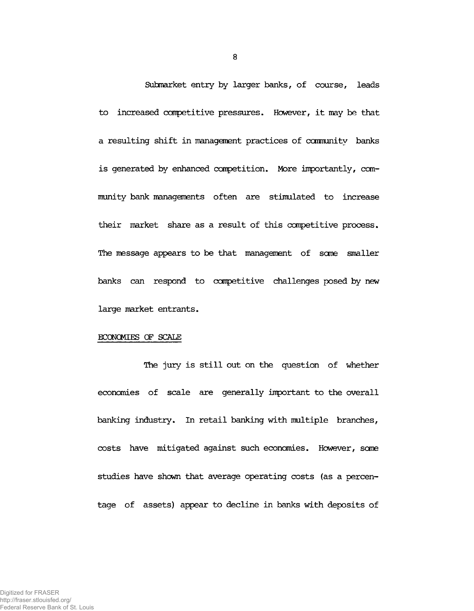**Submarket entry by larger banks, of course, leads to increased competitive pressures. However, it may be that a resulting shift in management practices of canmunity banks** is generated by enhanced competition. More importantly, com**munity bank managements often are stimulated to increase their market share as a result of this competitive process. The message appears to be that management of same smaller banks can respond to competitive challenges posed by new large market entrants.**

#### **ECONOMIES OF SCALE**

**The jury is still out on the question of whether economies of scale are generally important to the overall banking industry. In retail banking with multiple branches, costs have mitigated against such economies. However, some studies have shown that average operating costs (as a percentage of assets) appear to decline in banks with deposits of**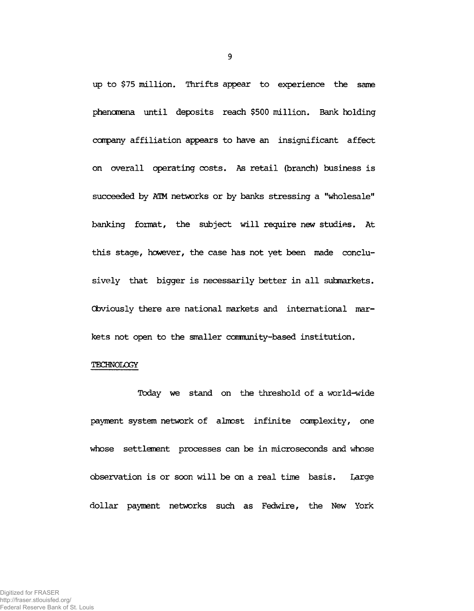**up to \$75 million. Thrifts appear to experience the same phenomena until deposits reach \$500 million. Bank holding company affiliation appears to have an insignificant affect on overall operating costs. As retail (branch) business is succeeded by AIM networks or by banks stressing a "wholesale" banking format, the subject will require new studies. At this stage, however, the case has not yet been made conclusively that bigger is necessarily better in all submarkets. Cbviously there are national markets and international markets not open to the smaller community-based institution.**

### **TECHNOLOGY**

**Today we stand on the threshold of a world-wide payment system network of almost infinite complexity, one whose settlement processes can be in microseconds and whose observation is or soon will be on a real time basis. Large dollar payment networks such as Fedwire, the New York**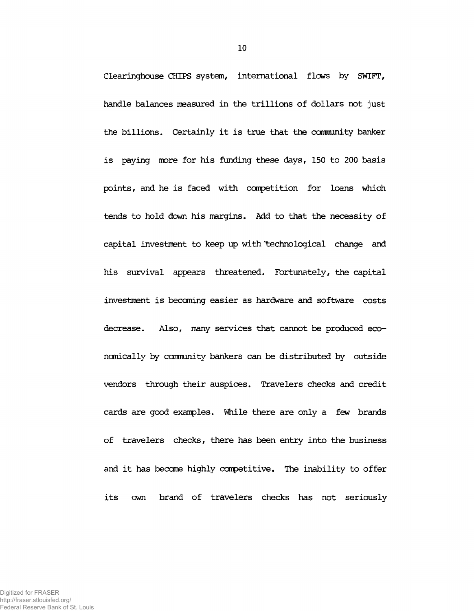**Clearinghouse CHIPS system, international flows by SWIFT, handle balances measured in the trillions of dollars not just the billions. Certainly it is true that the ccmnunity banker is paying more for his funding these days, 150 to 200 basis points, and he is faced with competition for loans which tends to hold down his margins. Add to that the necessity of capital investment to keep up with 'technological change and his survival appears threatened. Fortunately, the capital investment is becoming easier as hardware and software costs decrease. Also, many services that cannot be produced economically by community bankers can be distributed by outside vendors through their auspices. Travelers checks and credit cards are good examples. While there are only a few brands of travelers checks, there has been entry into the business and it has become highly competitive. The inability to offer its own brand of travelers checks has not seriously**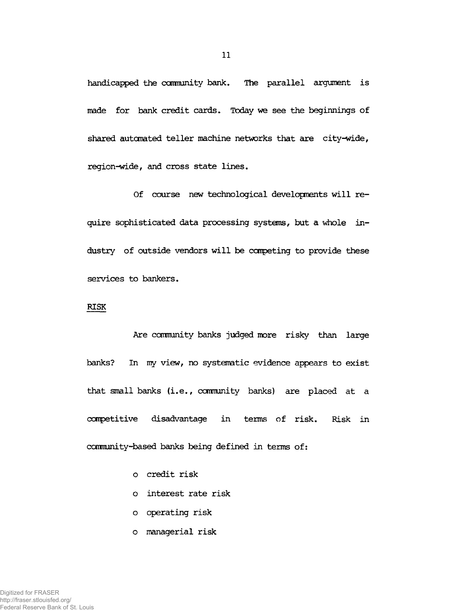**handicapped the community bank. The parallel argument is made for bank credit cards. Today we see the beginnings of shared automated teller machine networks that are city-wide, region-wide, and cross state lines.**

**Of course new technological developments will require sophisticated data processing systems, but a whole industry of outside vendors will be carpeting to provide these services to bankers.**

## **RISK**

**Are cannunity banks judged more risky than large banks? In my view, no systematic evidence appears to exist that small banks (i.e., community banks) are placed at a competitive disadvantage in terms of risk. Risk in cannunity-based banks being defined in terms of:**

- **o credit risk**
- **o interest rate risk**
- **o operating risk**
- **o managerial risk**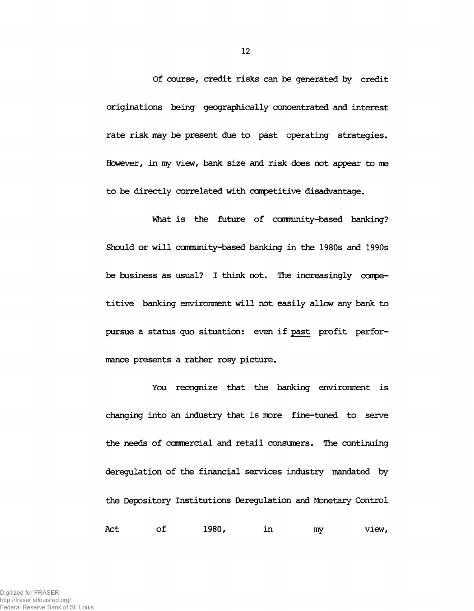**Of course, credit risks can be generated by credit originations being geographically concentrated and interest rate risk may be present due to past operating strategies.** However, in my view, bank size and risk does not appear to me **to be directly correlated with competitive disadvantage.**

**What is the future of ccmnunity-based banking? Should or will ccmnunity-based banking in the 1980s and 1990s be business as usual? I think not. The increasingly competitive banking environment will not easily allow any bank to pursue a status quo situation: even if past profit performance presents a rather rosy picture.**

**You recognize that the banking environment is changing into an industry that is more fine-tuned to serve the needs of cotmercial and retail consumers. The continuing deregulation of the financial services industry mandated by the Depository Institutions Deregulation and Monetary Control Act of 1980, in my view,**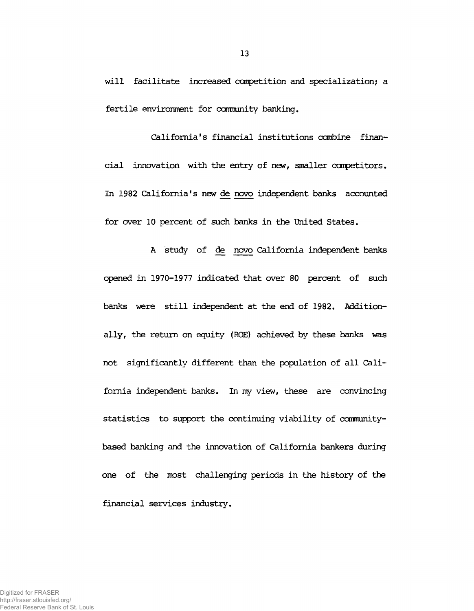**will facilitate increased competition and specialization; a fertile environment for ccmnunity banking.**

**California's financial institutions combine financial innovation with the entry of new, smaller competitors. In 1982 California's new de novo independent banks accounted for over 10 percent of such banks in the United States.**

**A study of de novo California independent banks opened in 1970-1977 indicated that over 80 percent of such banks were still independent at the end of 1982. Additionally, the return on equity (ROE) achieved by these banks was not significantly different than the population of all Cali**fornia independent banks. In my view, these are convincing statistics to support the continuing viability of community**based banking and the innovation of California bankers during one of the most challenging periods in the history of the financial services industry.**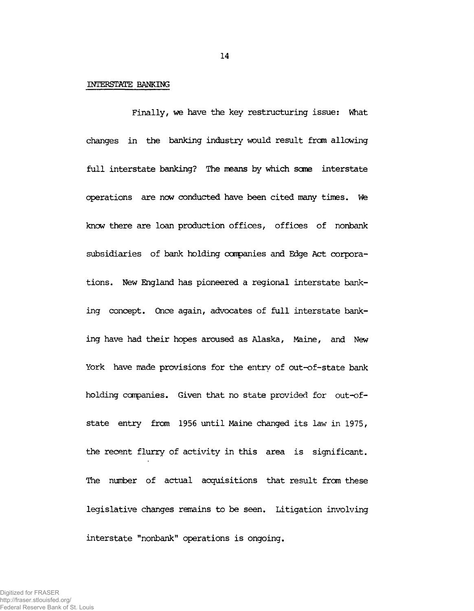#### **INTERSTATE BANKING**

**Finally, we have the key restructuring issue: What changes in the banking industry would result from allowing full interstate banking? The means by which sane interstate operations are now conducted have been cited many times. We knew there are loan production offices, offices of nonbank subsidiaries of bank holding companies and Edge Act corporations. New England has pioneered a regional interstate banking concept. Once again, advocates of full interstate banking have had their hopes aroused as Alaska, Maine, and New York have made provisions for the entry of out-of-state bank holding companies. Given that no state provided for out-ofstate entry from 1956 until Maine changed its law in 1975, the recent flurry of activity in this area is significant. The number of actual acquisitions that result from these legislative changes remains to be seen. Litigation involving interstate "nonbank" operations is ongoing.**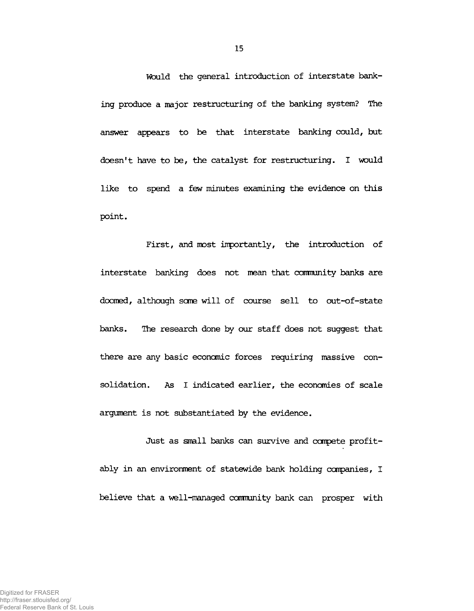**Would the general introduction of interstate banking produce a major restructuring of the banking system? The answer appears to be that interstate banking could, but doesn't have to be, the catalyst for restructuring. I would like to spend a few minutes examining the evidence on this point.**

**First, and most importantly, the introduction of interstate banking does not mean that community banks are doomed, although seme will of course sell to out-of-state banks. The research done by our staff does not suggest that there are any basic economic forces requiring massive consolidation. As I indicated earlier, the economies of scale argument is not substantiated by the evidence.**

**Just as small banks can survive and compete profitably in an environment of statewide bank holding companies, I believe that a well-managed community bank can prosper with**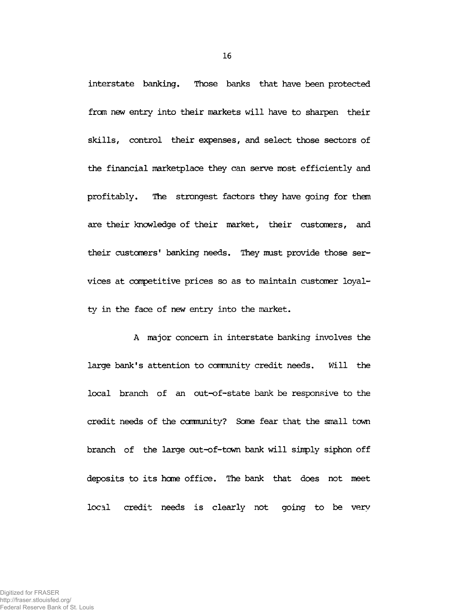**interstate banking. Those banks that have been protected from new entry into their markets will have to sharpen their skills, control their expenses, and select those sectors of the financial marketplace they can serve most efficiently and profitably. The strongest factors they have going for them are their knowledge of their market, their customers, and their customers' banking needs. They must provide those services at competitive prices so as to maintain customer loyalty in the face of new entry into the market.**

**A major concern in interstate banking involves the large bank's attention to cannunity credit needs. Will the local branch of an out-of-state bank be responsive to the credit needs of the ccmmnity? Sane fear that the small town branch of the large out-of-town bank will simply siphon off deposits to its hone office. The bank that does not meet local credit needs is clearly not going to be very**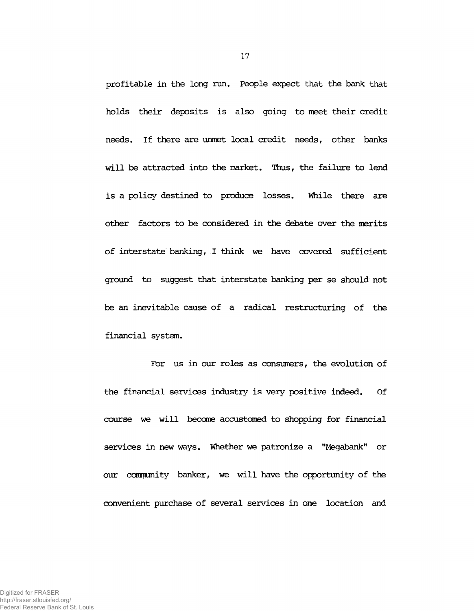**profitable in the long run. People expect that the bank that holds their deposits is also going to meet their credit needs. If there are unmet local credit needs, other banks will be attracted into the market. Thus, the failure to lend is a policy destined to produce losses. While there are other factors to be considered in the debate over the merits of interstate banking, I think we have covered sufficient ground to suggest that interstate banking per se should not be an inevitable cause of a radical restructuring of the financial system.**

**For us in our roles as consumers, the evolution of the financial services industry is very positive indeed. Of course we will become accustomed to shopping for financial services in new ways. Whether we patronize a "Megabank" or our community banker, we will have the opportunity of the convenient purchase of several services in one location and**